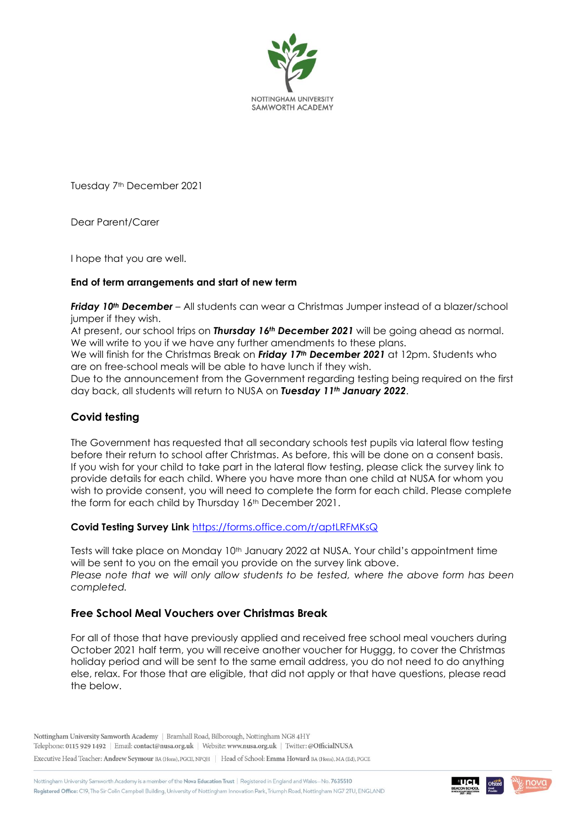

Tuesday 7<sup>th</sup> December 2021

Dear Parent/Carer

I hope that you are well.

### **End of term arrangements and start of new term**

*Friday 10th December* – All students can wear a Christmas Jumper instead of a blazer/school jumper if they wish.

At present, our school trips on *Thursday 16th December 2021* will be going ahead as normal. We will write to you if we have any further amendments to these plans.

We will finish for the Christmas Break on *Friday 17th December 2021* at 12pm. Students who are on free-school meals will be able to have lunch if they wish.

Due to the announcement from the Government regarding testing being required on the first day back, all students will return to NUSA on *Tuesday 11th January 2022*.

# **Covid testing**

The Government has requested that all secondary schools test pupils via lateral flow testing before their return to school after Christmas. As before, this will be done on a consent basis. If you wish for your child to take part in the lateral flow testing, please click the survey link to provide details for each child. Where you have more than one child at NUSA for whom you wish to provide consent, you will need to complete the form for each child. Please complete the form for each child by Thursday 16th December 2021.

#### **Covid Testing Survey Link** <https://forms.office.com/r/aptLRFMKsQ>

Tests will take place on Monday 10<sup>th</sup> January 2022 at NUSA. Your child's appointment time will be sent to you on the email you provide on the survey link above. *Please note that we will only allow students to be tested, where the above form has been completed.* 

## **Free School Meal Vouchers over Christmas Break**

For all of those that have previously applied and received free school meal vouchers during October 2021 half term, you will receive another voucher for Huggg, to cover the Christmas holiday period and will be sent to the same email address, you do not need to do anything else, relax. For those that are eligible, that did not apply or that have questions, please read the below.

Nottingham University Samworth Academy | Bramhall Road, Bilborough, Nottingham NG8 4HY Telephone: 0115 929 1492 | Email: contact@nusa.org.uk | Website: www.nusa.org.uk | Twitter: @OfficialNUSA

Executive Head Teacher: Andrew Seymour BA (Hons), PGCE, NPQH | Head of School: Emma Howard BA (Hons), MA (Ed), PGCE